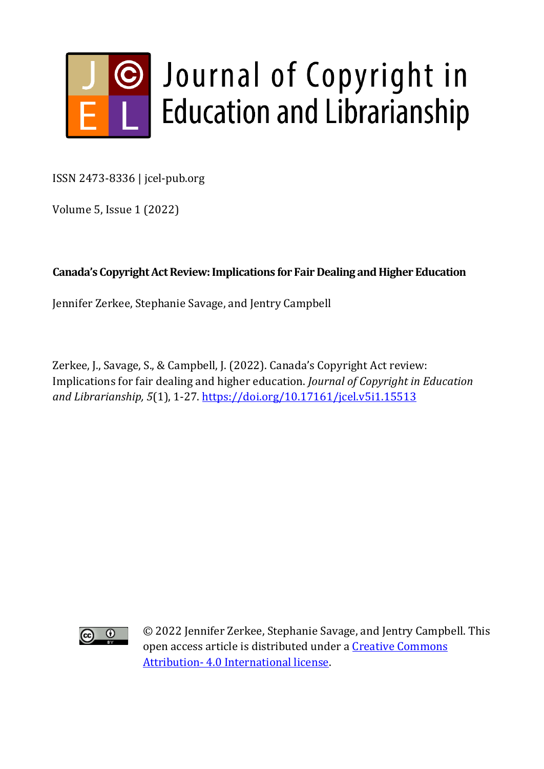

ISSN 2473-8336 | jcel-pub.org

Volume 5, Issue 1 (2022)

## **Canada's Copyright Act Review: Implications for Fair Dealing and Higher Education**

Jennifer Zerkee, Stephanie Savage, and Jentry Campbell

Zerkee, J., Savage, S., & Campbell, J. (2022). Canada's Copyright Act review: Implications for fair dealing and higher education. *Journal of Copyright in Education and Librarianship, 5*(1), 1-27.<https://doi.org/10.17161/jcel.v5i1.15513>



© 2022 Jennifer Zerkee, Stephanie Savage, and Jentry Campbell. This open access article is distributed under a [Creative Commons](https://creativecommons.org/licenses/by/4.0/)  Attribution- [4.0 International license.](https://creativecommons.org/licenses/by/4.0/)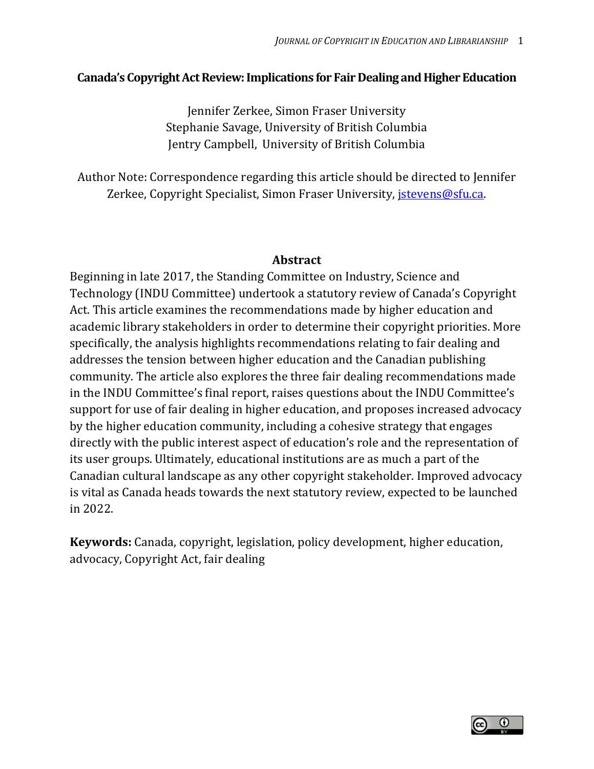#### **Canada's Copyright Act Review: Implications for Fair Dealing and Higher Education**

Jennifer Zerkee, Simon Fraser University Stephanie Savage, University of British Columbia Jentry Campbell, University of British Columbia

Author Note: Correspondence regarding this article should be directed to Jennifer Zerkee, Copyright Specialist, Simon Fraser University, *istevens@sfu.ca.* 

#### **Abstract**

Beginning in late 2017, the Standing Committee on Industry, Science and Technology (INDU Committee) undertook a statutory review of Canada's Copyright Act. This article examines the recommendations made by higher education and academic library stakeholders in order to determine their copyright priorities. More specifically, the analysis highlights recommendations relating to fair dealing and addresses the tension between higher education and the Canadian publishing community. The article also explores the three fair dealing recommendations made in the INDU Committee's final report, raises questions about the INDU Committee's support for use of fair dealing in higher education, and proposes increased advocacy by the higher education community, including a cohesive strategy that engages directly with the public interest aspect of education's role and the representation of its user groups. Ultimately, educational institutions are as much a part of the Canadian cultural landscape as any other copyright stakeholder. Improved advocacy is vital as Canada heads towards the next statutory review, expected to be launched in 2022.

**Keywords:** Canada, copyright, legislation, policy development, higher education, advocacy, Copyright Act, fair dealing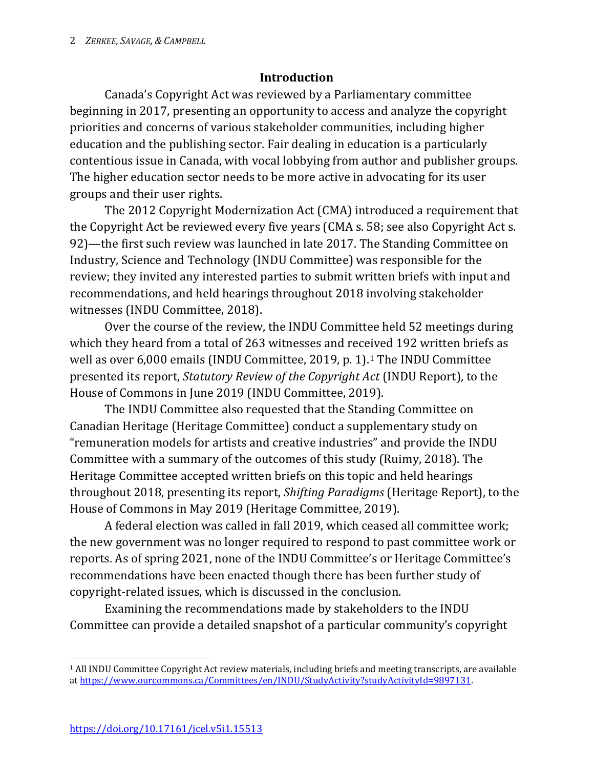### **Introduction**

Canada's Copyright Act was reviewed by a Parliamentary committee beginning in 2017, presenting an opportunity to access and analyze the copyright priorities and concerns of various stakeholder communities, including higher education and the publishing sector. Fair dealing in education is a particularly contentious issue in Canada, with vocal lobbying from author and publisher groups. The higher education sector needs to be more active in advocating for its user groups and their user rights.

The 2012 Copyright Modernization Act (CMA) introduced a requirement that the Copyright Act be reviewed every five years (CMA s. 58; see also Copyright Act s. 92)—the first such review was launched in late 2017. The Standing Committee on Industry, Science and Technology (INDU Committee) was responsible for the review; they invited any interested parties to submit written briefs with input and recommendations, and held hearings throughout 2018 involving stakeholder witnesses (INDU Committee, 2018).

Over the course of the review, the INDU Committee held 52 meetings during which they heard from a total of 263 witnesses and received 192 written briefs as well as over 6,000 emails (INDU Committee, 2019, p. 1).[1](#page-2-0) The INDU Committee presented its report, *Statutory Review of the Copyright Act* (INDU Report), to the House of Commons in June 2019 (INDU Committee, 2019).

The INDU Committee also requested that the Standing Committee on Canadian Heritage (Heritage Committee) conduct a supplementary study on "remuneration models for artists and creative industries" and provide the INDU Committee with a summary of the outcomes of this study (Ruimy, 2018). The Heritage Committee accepted written briefs on this topic and held hearings throughout 2018, presenting its report, *Shifting Paradigms* (Heritage Report), to the House of Commons in May 2019 (Heritage Committee, 2019).

A federal election was called in fall 2019, which ceased all committee work; the new government was no longer required to respond to past committee work or reports. As of spring 2021, none of the INDU Committee's or Heritage Committee's recommendations have been enacted though there has been further study of copyright-related issues, which is discussed in the conclusion.

Examining the recommendations made by stakeholders to the INDU Committee can provide a detailed snapshot of a particular community's copyright

 $\overline{\phantom{a}}$ 

<span id="page-2-0"></span><sup>1</sup> All INDU Committee Copyright Act review materials, including briefs and meeting transcripts, are available a[t https://www.ourcommons.ca/Committees/en/INDU/StudyActivity?studyActivityId=9897131.](https://www.ourcommons.ca/Committees/en/INDU/StudyActivity?studyActivityId=9897131)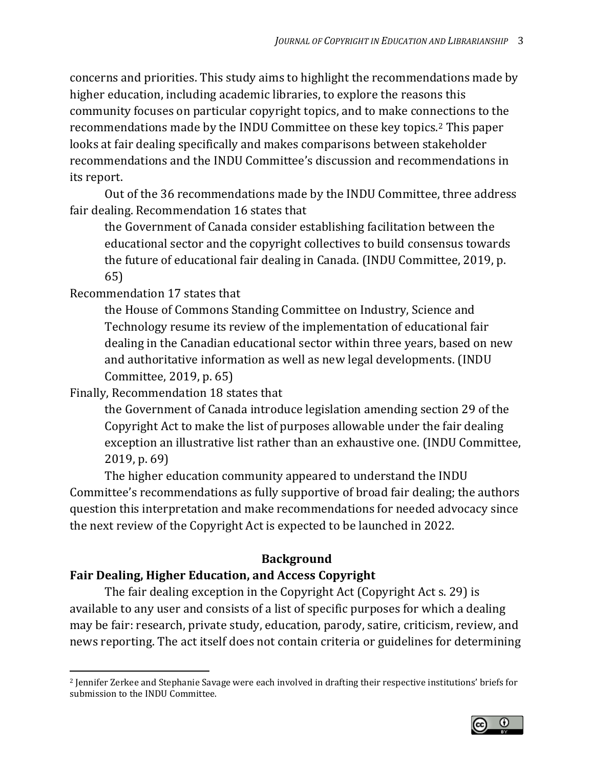concerns and priorities. This study aims to highlight the recommendations made by higher education, including academic libraries, to explore the reasons this community focuses on particular copyright topics, and to make connections to the recommendations made by the INDU Committee on these key topics.[2](#page-3-0) This paper looks at fair dealing specifically and makes comparisons between stakeholder recommendations and the INDU Committee's discussion and recommendations in its report.

Out of the 36 recommendations made by the INDU Committee, three address fair dealing. Recommendation 16 states that

the Government of Canada consider establishing facilitation between the educational sector and the copyright collectives to build consensus towards the future of educational fair dealing in Canada. (INDU Committee, 2019, p. 65)

Recommendation 17 states that

the House of Commons Standing Committee on Industry, Science and Technology resume its review of the implementation of educational fair dealing in the Canadian educational sector within three years, based on new and authoritative information as well as new legal developments. (INDU Committee, 2019, p. 65)

Finally, Recommendation 18 states that

the Government of Canada introduce legislation amending section 29 of the Copyright Act to make the list of purposes allowable under the fair dealing exception an illustrative list rather than an exhaustive one. (INDU Committee, 2019, p. 69)

The higher education community appeared to understand the INDU Committee's recommendations as fully supportive of broad fair dealing; the authors question this interpretation and make recommendations for needed advocacy since the next review of the Copyright Act is expected to be launched in 2022.

# **Background**

### **Fair Dealing, Higher Education, and Access Copyright**

The fair dealing exception in the Copyright Act (Copyright Act s. 29) is available to any user and consists of a list of specific purposes for which a dealing may be fair: research, private study, education, parody, satire, criticism, review, and news reporting. The act itself does not contain criteria or guidelines for determining

<span id="page-3-0"></span> $\overline{\phantom{a}}$ <sup>2</sup> Jennifer Zerkee and Stephanie Savage were each involved in drafting their respective institutions' briefs for submission to the INDU Committee.

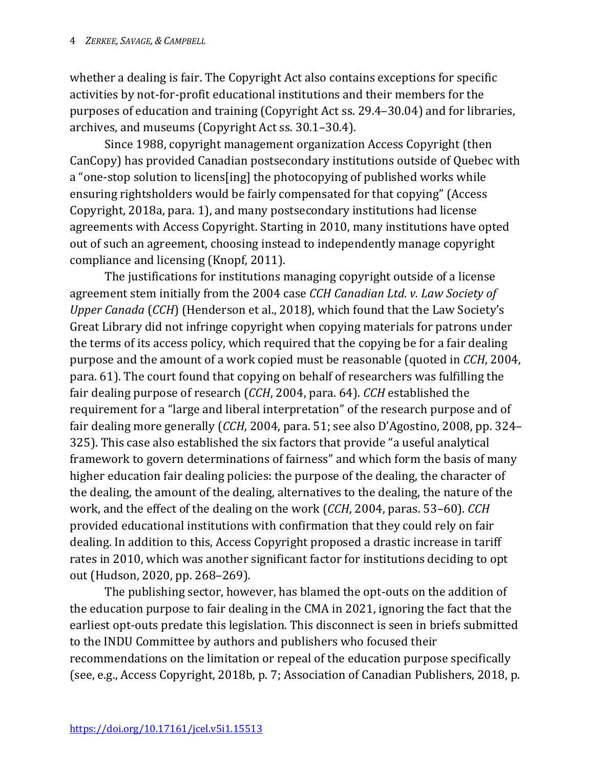whether a dealing is fair. The Copyright Act also contains exceptions for specific activities by not-for-profit educational institutions and their members for the purposes of education and training (Copyright Act ss. 29.4–30.04) and for libraries, archives, and museums (Copyright Act ss. 30.1–30.4).

Since 1988, copyright management organization Access Copyright (then CanCopy) has provided Canadian postsecondary institutions outside of Quebec with a "one-stop solution to licens[ing] the photocopying of published works while ensuring rightsholders would be fairly compensated for that copying" (Access Copyright, 2018a, para. 1), and many postsecondary institutions had license agreements with Access Copyright. Starting in 2010, many institutions have opted out of such an agreement, choosing instead to independently manage copyright compliance and licensing (Knopf, 2011).

The justifications for institutions managing copyright outside of a license agreement stem initially from the 2004 case *CCH Canadian Ltd. v. Law Society of Upper Canada* (*CCH*) (Henderson et al., 2018), which found that the Law Society's Great Library did not infringe copyright when copying materials for patrons under the terms of its access policy, which required that the copying be for a fair dealing purpose and the amount of a work copied must be reasonable (quoted in *CCH*, 2004, para. 61). The court found that copying on behalf of researchers was fulfilling the fair dealing purpose of research (*CCH*, 2004, para. 64). *CCH* established the requirement for a "large and liberal interpretation" of the research purpose and of fair dealing more generally (*CCH*, 2004, para. 51; see also D'Agostino, 2008, pp. 324– 325). This case also established the six factors that provide "a useful analytical framework to govern determinations of fairness" and which form the basis of many higher education fair dealing policies: the purpose of the dealing, the character of the dealing, the amount of the dealing, alternatives to the dealing, the nature of the work, and the effect of the dealing on the work (*CCH*, 2004, paras. 53–60). *CCH* provided educational institutions with confirmation that they could rely on fair dealing. In addition to this, Access Copyright proposed a drastic increase in tariff rates in 2010, which was another significant factor for institutions deciding to opt out (Hudson, 2020, pp. 268–269).

The publishing sector, however, has blamed the opt-outs on the addition of the education purpose to fair dealing in the CMA in 2021, ignoring the fact that the earliest opt-outs predate this legislation. This disconnect is seen in briefs submitted to the INDU Committee by authors and publishers who focused their recommendations on the limitation or repeal of the education purpose specifically (see, e.g., Access Copyright, 2018b, p. 7; Association of Canadian Publishers, 2018, p.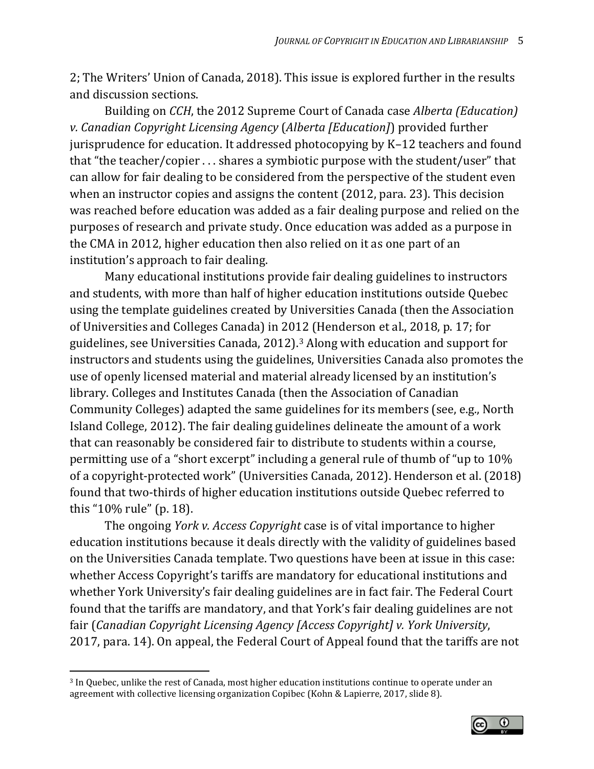2; The Writers' Union of Canada, 2018). This issue is explored further in the results and discussion sections.

Building on *CCH*, the 2012 Supreme Court of Canada case *Alberta (Education) v. Canadian Copyright Licensing Agency* (*Alberta [Education]*) provided further jurisprudence for education. It addressed photocopying by K–12 teachers and found that "the teacher/copier . . . shares a symbiotic purpose with the student/user" that can allow for fair dealing to be considered from the perspective of the student even when an instructor copies and assigns the content (2012, para. 23). This decision was reached before education was added as a fair dealing purpose and relied on the purposes of research and private study. Once education was added as a purpose in the CMA in 2012, higher education then also relied on it as one part of an institution's approach to fair dealing.

Many educational institutions provide fair dealing guidelines to instructors and students, with more than half of higher education institutions outside Quebec using the template guidelines created by Universities Canada (then the Association of Universities and Colleges Canada) in 2012 (Henderson et al., 2018, p. 17; for guidelines, see Universities Canada, 2012).[3](#page-5-0) Along with education and support for instructors and students using the guidelines, Universities Canada also promotes the use of openly licensed material and material already licensed by an institution's library. Colleges and Institutes Canada (then the Association of Canadian Community Colleges) adapted the same guidelines for its members (see, e.g., North Island College, 2012). The fair dealing guidelines delineate the amount of a work that can reasonably be considered fair to distribute to students within a course, permitting use of a "short excerpt" including a general rule of thumb of "up to 10% of a copyright-protected work" (Universities Canada, 2012). Henderson et al. (2018) found that two-thirds of higher education institutions outside Quebec referred to this "10% rule" (p. 18).

The ongoing *York v. Access Copyright* case is of vital importance to higher education institutions because it deals directly with the validity of guidelines based on the Universities Canada template. Two questions have been at issue in this case: whether Access Copyright's tariffs are mandatory for educational institutions and whether York University's fair dealing guidelines are in fact fair. The Federal Court found that the tariffs are mandatory, and that York's fair dealing guidelines are not fair (*Canadian Copyright Licensing Agency [Access Copyright] v. York University*, 2017, para. 14). On appeal, the Federal Court of Appeal found that the tariffs are not

 $\overline{\phantom{a}}$ 



<span id="page-5-0"></span><sup>3</sup> In Quebec, unlike the rest of Canada, most higher education institutions continue to operate under an agreement with collective licensing organization Copibec (Kohn & Lapierre, 2017, slide 8).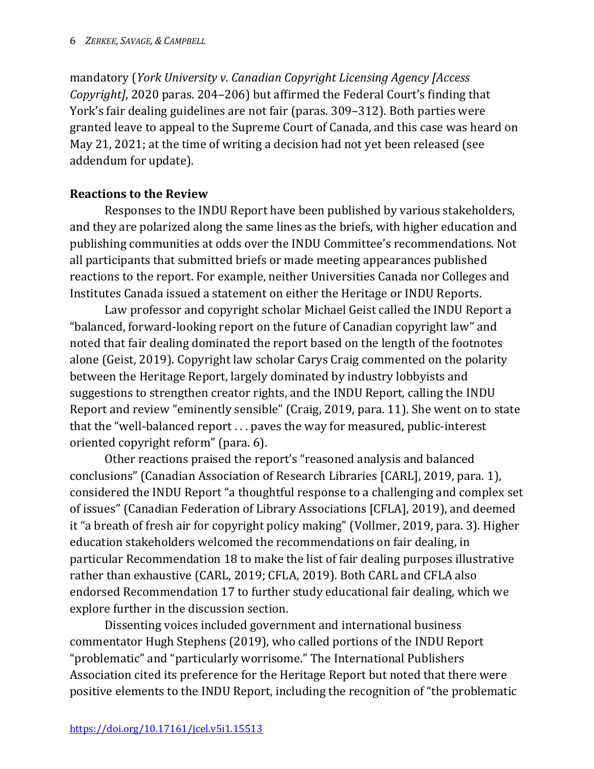mandatory (*York University v. Canadian Copyright Licensing Agency [Access Copyright]*, 2020 paras. 204–206) but affirmed the Federal Court's finding that York's fair dealing guidelines are not fair (paras. 309–312). Both parties were granted leave to appeal to the Supreme Court of Canada, and this case was heard on May 21, 2021; at the time of writing a decision had not yet been released (see addendum for update).

### **Reactions to the Review**

Responses to the INDU Report have been published by various stakeholders, and they are polarized along the same lines as the briefs, with higher education and publishing communities at odds over the INDU Committee's recommendations. Not all participants that submitted briefs or made meeting appearances published reactions to the report. For example, neither Universities Canada nor Colleges and Institutes Canada issued a statement on either the Heritage or INDU Reports.

Law professor and copyright scholar Michael Geist called the INDU Report a "balanced, forward-looking report on the future of Canadian copyright law" and noted that fair dealing dominated the report based on the length of the footnotes alone (Geist, 2019). Copyright law scholar Carys Craig commented on the polarity between the Heritage Report, largely dominated by industry lobbyists and suggestions to strengthen creator rights, and the INDU Report, calling the INDU Report and review "eminently sensible" (Craig, 2019, para. 11). She went on to state that the "well-balanced report . . . paves the way for measured, public-interest oriented copyright reform" (para. 6).

Other reactions praised the report's "reasoned analysis and balanced conclusions" (Canadian Association of Research Libraries [CARL], 2019, para. 1), considered the INDU Report "a thoughtful response to a challenging and complex set of issues" (Canadian Federation of Library Associations [CFLA], 2019), and deemed it "a breath of fresh air for copyright policy making" (Vollmer, 2019, para. 3). Higher education stakeholders welcomed the recommendations on fair dealing, in particular Recommendation 18 to make the list of fair dealing purposes illustrative rather than exhaustive (CARL, 2019; CFLA, 2019). Both CARL and CFLA also endorsed Recommendation 17 to further study educational fair dealing, which we explore further in the discussion section.

Dissenting voices included government and international business commentator Hugh Stephens (2019), who called portions of the INDU Report "problematic" and "particularly worrisome." The International Publishers Association cited its preference for the Heritage Report but noted that there were positive elements to the INDU Report, including the recognition of "the problematic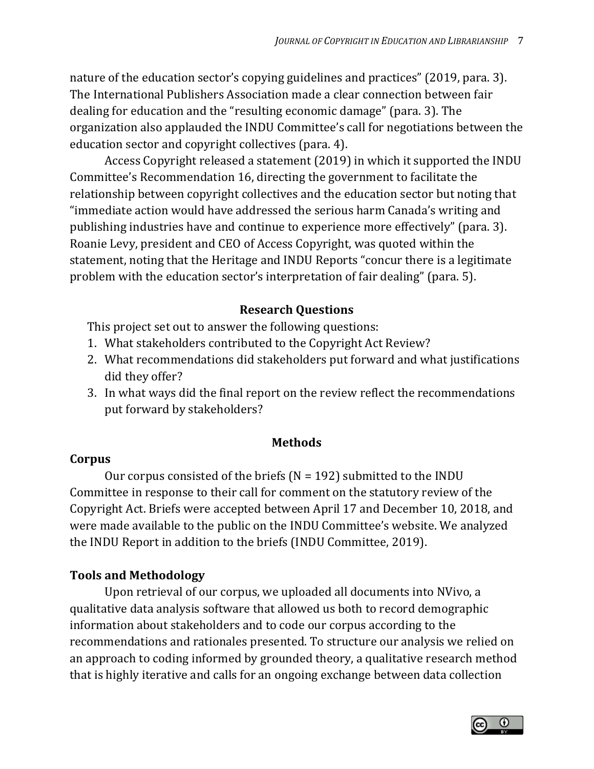nature of the education sector's copying guidelines and practices" (2019, para. 3). The International Publishers Association made a clear connection between fair dealing for education and the "resulting economic damage" (para. 3). The organization also applauded the INDU Committee's call for negotiations between the education sector and copyright collectives (para. 4).

Access Copyright released a statement (2019) in which it supported the INDU Committee's Recommendation 16, directing the government to facilitate the relationship between copyright collectives and the education sector but noting that "immediate action would have addressed the serious harm Canada's writing and publishing industries have and continue to experience more effectively" (para. 3). Roanie Levy, president and CEO of Access Copyright, was quoted within the statement, noting that the Heritage and INDU Reports "concur there is a legitimate problem with the education sector's interpretation of fair dealing" (para. 5).

# **Research Questions**

This project set out to answer the following questions:

- 1. What stakeholders contributed to the Copyright Act Review?
- 2. What recommendations did stakeholders put forward and what justifications did they offer?
- 3. In what ways did the final report on the review reflect the recommendations put forward by stakeholders?

# **Methods**

### **Corpus**

Our corpus consisted of the briefs ( $N = 192$ ) submitted to the INDU Committee in response to their call for comment on the statutory review of the Copyright Act. Briefs were accepted between April 17 and December 10, 2018, and were made available to the public on the INDU Committee's website. We analyzed the INDU Report in addition to the briefs (INDU Committee, 2019).

# **Tools and Methodology**

Upon retrieval of our corpus, we uploaded all documents into NVivo, a qualitative data analysis software that allowed us both to record demographic information about stakeholders and to code our corpus according to the recommendations and rationales presented. To structure our analysis we relied on an approach to coding informed by grounded theory, a qualitative research method that is highly iterative and calls for an ongoing exchange between data collection

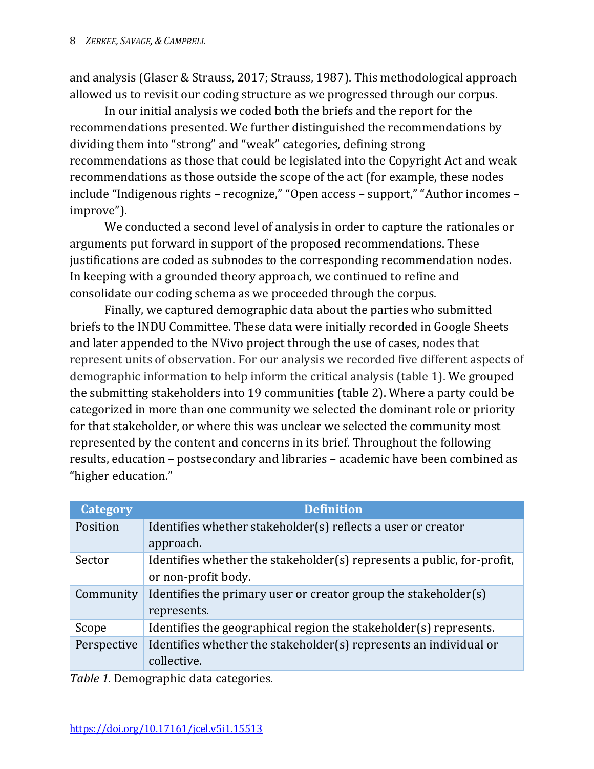and analysis (Glaser & Strauss, 2017; Strauss, 1987). This methodological approach allowed us to revisit our coding structure as we progressed through our corpus.

In our initial analysis we coded both the briefs and the report for the recommendations presented. We further distinguished the recommendations by dividing them into "strong" and "weak" categories, defining strong recommendations as those that could be legislated into the Copyright Act and weak recommendations as those outside the scope of the act (for example, these nodes include "Indigenous rights – recognize," "Open access – support," "Author incomes – improve").

We conducted a second level of analysis in order to capture the rationales or arguments put forward in support of the proposed recommendations. These justifications are coded as subnodes to the corresponding recommendation nodes. In keeping with a grounded theory approach, we continued to refine and consolidate our coding schema as we proceeded through the corpus.

Finally, we captured demographic data about the parties who submitted briefs to the INDU Committee. These data were initially recorded in Google Sheets and later appended to the NVivo project through the use of cases, nodes that represent units of observation. For our analysis we recorded five different aspects of demographic information to help inform the critical analysis (table 1). We grouped the submitting stakeholders into 19 communities (table 2). Where a party could be categorized in more than one community we selected the dominant role or priority for that stakeholder, or where this was unclear we selected the community most represented by the content and concerns in its brief. Throughout the following results, education – postsecondary and libraries – academic have been combined as "higher education."

| <b>Category</b> | <b>Definition</b>                                                      |
|-----------------|------------------------------------------------------------------------|
| Position        | Identifies whether stakeholder(s) reflects a user or creator           |
|                 | approach.                                                              |
| Sector          | Identifies whether the stakeholder(s) represents a public, for-profit, |
|                 | or non-profit body.                                                    |
| Community       | Identifies the primary user or creator group the stakeholder(s)        |
|                 | represents.                                                            |
| Scope           | Identifies the geographical region the stakeholder(s) represents.      |
| Perspective     | Identifies whether the stakeholder(s) represents an individual or      |
|                 | collective.                                                            |

*Table 1.* Demographic data categories.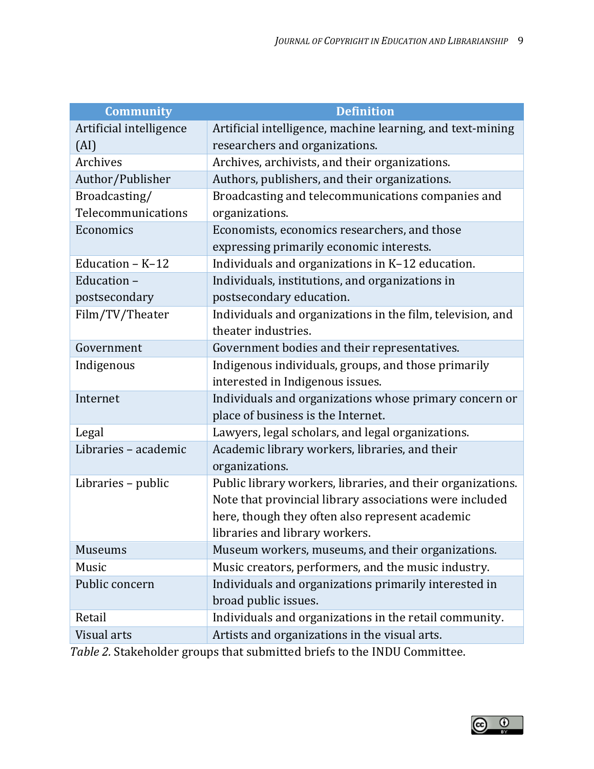| <b>Community</b>        | <b>Definition</b>                                           |  |
|-------------------------|-------------------------------------------------------------|--|
| Artificial intelligence | Artificial intelligence, machine learning, and text-mining  |  |
| (AI)                    | researchers and organizations.                              |  |
| Archives                | Archives, archivists, and their organizations.              |  |
| Author/Publisher        | Authors, publishers, and their organizations.               |  |
| Broadcasting/           | Broadcasting and telecommunications companies and           |  |
| Telecommunications      | organizations.                                              |  |
| Economics               | Economists, economics researchers, and those                |  |
|                         | expressing primarily economic interests.                    |  |
| Education $- K - 12$    | Individuals and organizations in K-12 education.            |  |
| Education-              | Individuals, institutions, and organizations in             |  |
| postsecondary           | postsecondary education.                                    |  |
| Film/TV/Theater         | Individuals and organizations in the film, television, and  |  |
|                         | theater industries.                                         |  |
| Government              | Government bodies and their representatives.                |  |
| Indigenous              | Indigenous individuals, groups, and those primarily         |  |
|                         | interested in Indigenous issues.                            |  |
| Internet                | Individuals and organizations whose primary concern or      |  |
|                         | place of business is the Internet.                          |  |
| Legal                   | Lawyers, legal scholars, and legal organizations.           |  |
| Libraries - academic    | Academic library workers, libraries, and their              |  |
|                         | organizations.                                              |  |
| Libraries - public      | Public library workers, libraries, and their organizations. |  |
|                         | Note that provincial library associations were included     |  |
|                         | here, though they often also represent academic             |  |
|                         | libraries and library workers.                              |  |
| <b>Museums</b>          | Museum workers, museums, and their organizations.           |  |
| Music                   | Music creators, performers, and the music industry.         |  |
| Public concern          | Individuals and organizations primarily interested in       |  |
|                         | broad public issues.                                        |  |
| Retail                  | Individuals and organizations in the retail community.      |  |
| Visual arts             | Artists and organizations in the visual arts.               |  |

*Table 2.* Stakeholder groups that submitted briefs to the INDU Committee.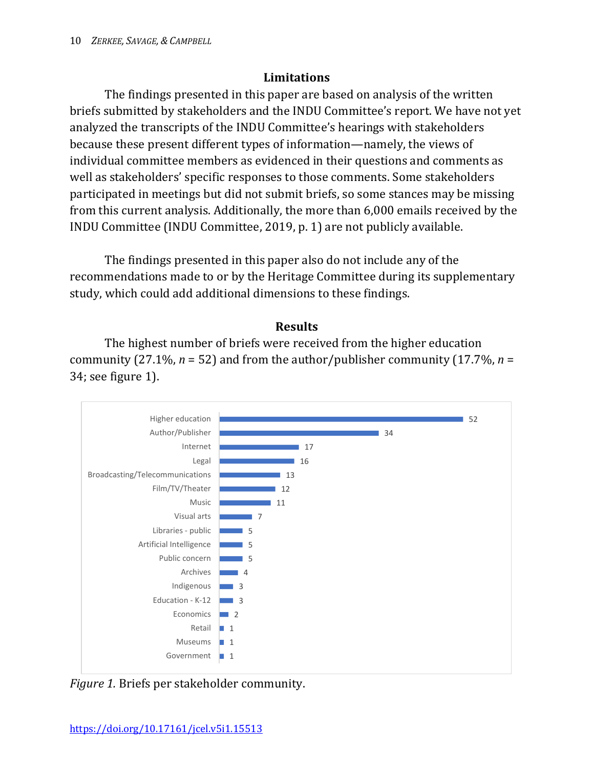## **Limitations**

The findings presented in this paper are based on analysis of the written briefs submitted by stakeholders and the INDU Committee's report. We have not yet analyzed the transcripts of the INDU Committee's hearings with stakeholders because these present different types of information—namely, the views of individual committee members as evidenced in their questions and comments as well as stakeholders' specific responses to those comments. Some stakeholders participated in meetings but did not submit briefs, so some stances may be missing from this current analysis. Additionally, the more than 6,000 emails received by the INDU Committee (INDU Committee, 2019, p. 1) are not publicly available.

The findings presented in this paper also do not include any of the recommendations made to or by the Heritage Committee during its supplementary study, which could add additional dimensions to these findings.

#### **Results**

The highest number of briefs were received from the higher education community (27.1%, *n* = 52) and from the author/publisher community (17.7%, *n* = 34; see figure 1).



*Figure 1.* Briefs per stakeholder community.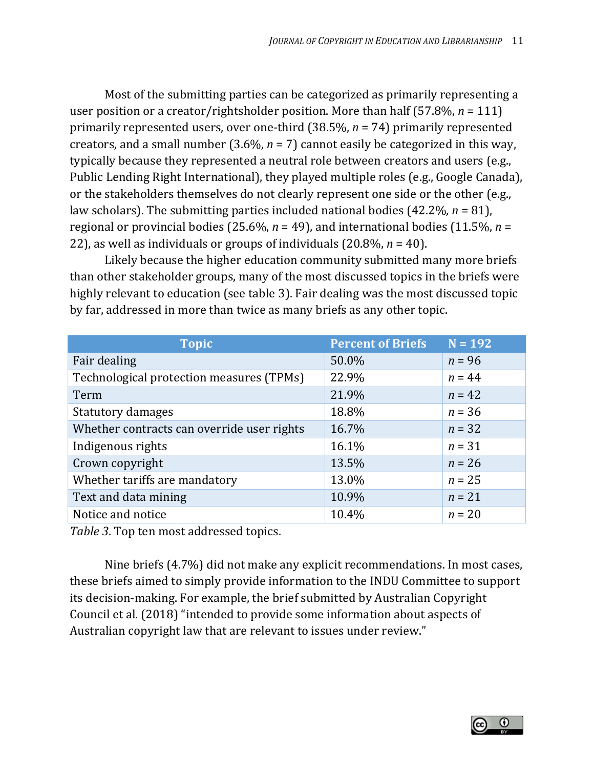Most of the submitting parties can be categorized as primarily representing a user position or a creator/rightsholder position. More than half (57.8%, *n* = 111) primarily represented users, over one-third (38.5%, *n* = 74) primarily represented creators, and a small number (3.6%, *n* = 7) cannot easily be categorized in this way, typically because they represented a neutral role between creators and users (e.g., Public Lending Right International), they played multiple roles (e.g., Google Canada), or the stakeholders themselves do not clearly represent one side or the other (e.g., law scholars). The submitting parties included national bodies (42.2%, *n* = 81), regional or provincial bodies (25.6%, *n* = 49), and international bodies (11.5%, *n* = 22), as well as individuals or groups of individuals (20.8%, *n* = 40).

Likely because the higher education community submitted many more briefs than other stakeholder groups, many of the most discussed topics in the briefs were highly relevant to education (see table 3). Fair dealing was the most discussed topic by far, addressed in more than twice as many briefs as any other topic.

| <b>Topic</b>                               | <b>Percent of Briefs</b> | $N = 192$ |
|--------------------------------------------|--------------------------|-----------|
| Fair dealing                               | 50.0%                    | $n = 96$  |
| Technological protection measures (TPMs)   | 22.9%                    | $n = 44$  |
| Term                                       | 21.9%                    | $n = 42$  |
| Statutory damages                          | 18.8%                    | $n = 36$  |
| Whether contracts can override user rights | 16.7%                    | $n = 32$  |
| Indigenous rights                          | 16.1%                    | $n = 31$  |
| Crown copyright                            | 13.5%                    | $n = 26$  |
| Whether tariffs are mandatory              | 13.0%                    | $n = 25$  |
| Text and data mining                       | 10.9%                    | $n = 21$  |
| Notice and notice                          | 10.4%                    | $n = 20$  |

*Table 3*. Top ten most addressed topics.

Nine briefs (4.7%) did not make any explicit recommendations. In most cases, these briefs aimed to simply provide information to the INDU Committee to support its decision-making. For example, the brief submitted by Australian Copyright Council et al. (2018) "intended to provide some information about aspects of Australian copyright law that are relevant to issues under review."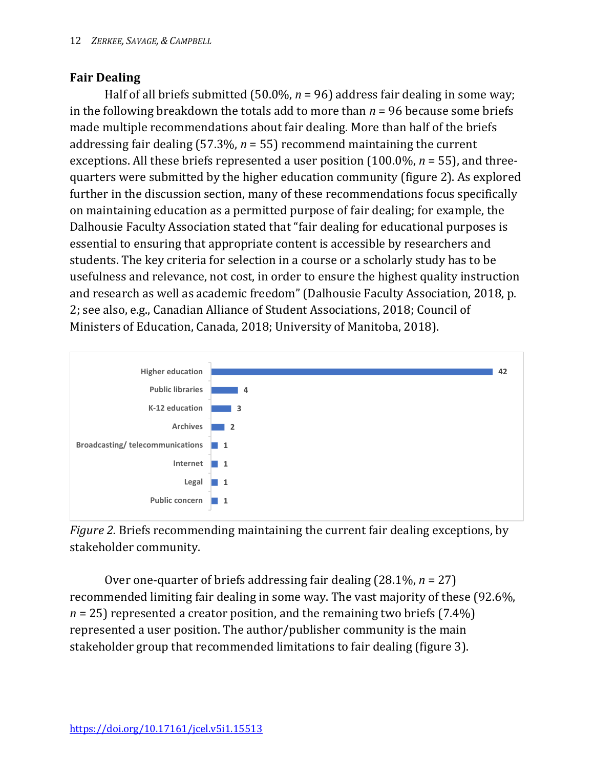## **Fair Dealing**

Half of all briefs submitted (50.0%,  $n = 96$ ) address fair dealing in some way; in the following breakdown the totals add to more than  $n = 96$  because some briefs made multiple recommendations about fair dealing. More than half of the briefs addressing fair dealing (57.3%, *n* = 55) recommend maintaining the current exceptions. All these briefs represented a user position (100.0%, *n* = 55), and threequarters were submitted by the higher education community (figure 2). As explored further in the discussion section, many of these recommendations focus specifically on maintaining education as a permitted purpose of fair dealing; for example, the Dalhousie Faculty Association stated that "fair dealing for educational purposes is essential to ensuring that appropriate content is accessible by researchers and students. The key criteria for selection in a course or a scholarly study has to be usefulness and relevance, not cost, in order to ensure the highest quality instruction and research as well as academic freedom" (Dalhousie Faculty Association, 2018, p. 2; see also, e.g., Canadian Alliance of Student Associations, 2018; Council of Ministers of Education, Canada, 2018; University of Manitoba, 2018).



*Figure 2.* Briefs recommending maintaining the current fair dealing exceptions, by stakeholder community.

Over one-quarter of briefs addressing fair dealing (28.1%, *n* = 27) recommended limiting fair dealing in some way. The vast majority of these (92.6%, *n* = 25) represented a creator position, and the remaining two briefs (7.4%) represented a user position. The author/publisher community is the main stakeholder group that recommended limitations to fair dealing (figure 3).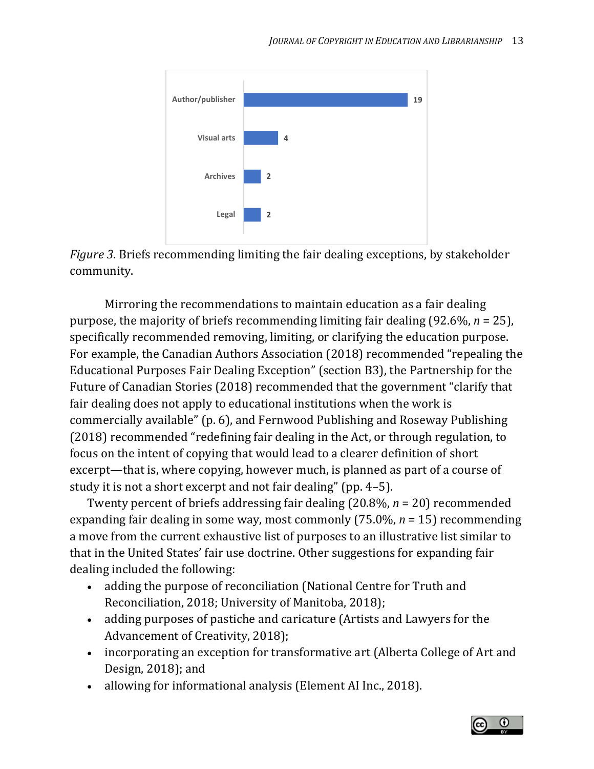



Mirroring the recommendations to maintain education as a fair dealing purpose, the majority of briefs recommending limiting fair dealing (92.6%, *n* = 25), specifically recommended removing, limiting, or clarifying the education purpose. For example, the Canadian Authors Association (2018) recommended "repealing the Educational Purposes Fair Dealing Exception" (section B3), the Partnership for the Future of Canadian Stories (2018) recommended that the government "clarify that fair dealing does not apply to educational institutions when the work is commercially available" (p. 6), and Fernwood Publishing and Roseway Publishing (2018) recommended "redefining fair dealing in the Act, or through regulation, to focus on the intent of copying that would lead to a clearer definition of short excerpt—that is, where copying, however much, is planned as part of a course of study it is not a short excerpt and not fair dealing" (pp. 4–5).

Twenty percent of briefs addressing fair dealing (20.8%, *n* = 20) recommended expanding fair dealing in some way, most commonly (75.0%, *n* = 15) recommending a move from the current exhaustive list of purposes to an illustrative list similar to that in the United States' fair use doctrine. Other suggestions for expanding fair dealing included the following:

- adding the purpose of reconciliation (National Centre for Truth and Reconciliation, 2018; University of Manitoba, 2018);
- adding purposes of pastiche and caricature (Artists and Lawyers for the Advancement of Creativity, 2018);
- incorporating an exception for transformative art (Alberta College of Art and Design, 2018); and
- allowing for informational analysis (Element AI Inc., 2018).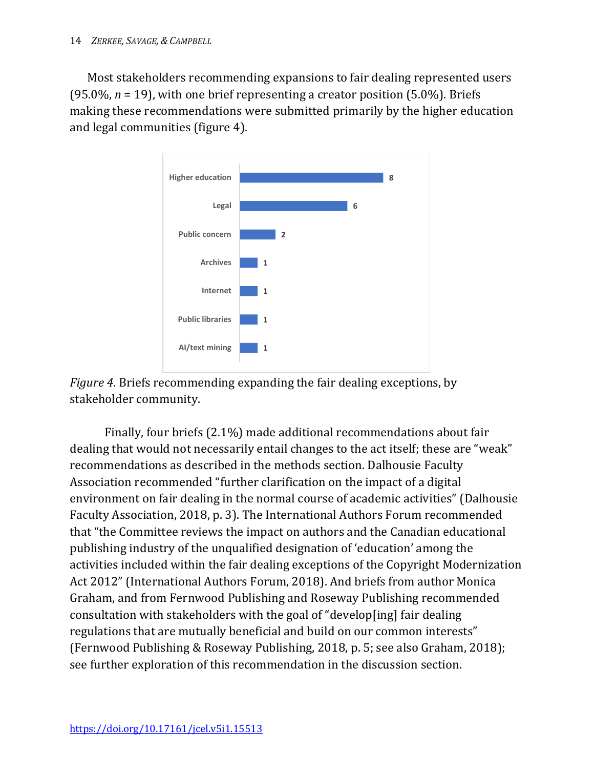Most stakeholders recommending expansions to fair dealing represented users (95.0%, *n* = 19), with one brief representing a creator position (5.0%). Briefs making these recommendations were submitted primarily by the higher education and legal communities (figure 4).





Finally, four briefs (2.1%) made additional recommendations about fair dealing that would not necessarily entail changes to the act itself; these are "weak" recommendations as described in the methods section. Dalhousie Faculty Association recommended "further clarification on the impact of a digital environment on fair dealing in the normal course of academic activities" (Dalhousie Faculty Association, 2018, p. 3). The International Authors Forum recommended that "the Committee reviews the impact on authors and the Canadian educational publishing industry of the unqualified designation of 'education' among the activities included within the fair dealing exceptions of the Copyright Modernization Act 2012" (International Authors Forum, 2018). And briefs from author Monica Graham, and from Fernwood Publishing and Roseway Publishing recommended consultation with stakeholders with the goal of "develop[ing] fair dealing regulations that are mutually beneficial and build on our common interests" (Fernwood Publishing & Roseway Publishing, 2018, p. 5; see also Graham, 2018); see further exploration of this recommendation in the discussion section.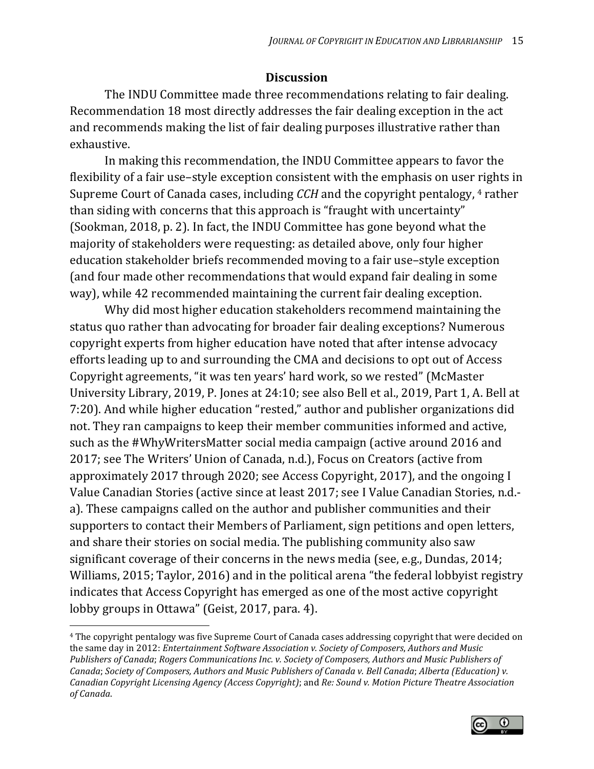#### **Discussion**

The INDU Committee made three recommendations relating to fair dealing. Recommendation 18 most directly addresses the fair dealing exception in the act and recommends making the list of fair dealing purposes illustrative rather than exhaustive.

In making this recommendation, the INDU Committee appears to favor the flexibility of a fair use–style exception consistent with the emphasis on user rights in Supreme Court of Canada cases, including *CCH* and the copyright pentalogy, [4](#page-15-0) rather than siding with concerns that this approach is "fraught with uncertainty" (Sookman, 2018, p. 2). In fact, the INDU Committee has gone beyond what the majority of stakeholders were requesting: as detailed above, only four higher education stakeholder briefs recommended moving to a fair use–style exception (and four made other recommendations that would expand fair dealing in some way), while 42 recommended maintaining the current fair dealing exception.

Why did most higher education stakeholders recommend maintaining the status quo rather than advocating for broader fair dealing exceptions? Numerous copyright experts from higher education have noted that after intense advocacy efforts leading up to and surrounding the CMA and decisions to opt out of Access Copyright agreements, "it was ten years' hard work, so we rested" (McMaster University Library, 2019, P. Jones at 24:10; see also Bell et al., 2019, Part 1, A. Bell at 7:20). And while higher education "rested," author and publisher organizations did not. They ran campaigns to keep their member communities informed and active, such as the #WhyWritersMatter social media campaign (active around 2016 and 2017; see The Writers' Union of Canada, n.d.), Focus on Creators (active from approximately 2017 through 2020; see Access Copyright, 2017), and the ongoing [I](https://ivaluecanadianstories.ca/index.php)  [Value Canadian Stories](https://ivaluecanadianstories.ca/index.php) (active since at least 2017; see I Value Canadian Stories, n.d. a). These campaigns called on the author and publisher communities and their supporters to contact their Members of Parliament, sign petitions and open letters, and share their stories on social media. The publishing community also saw significant coverage of their concerns in the news media (see, e.g., Dundas, 2014; Williams, 2015; Taylor, 2016) and in the political arena "the federal lobbyist registry indicates that Access Copyright has emerged as one of the most active copyright lobby groups in Ottawa" (Geist, 2017, para. 4).

l



<span id="page-15-0"></span><sup>4</sup> The copyright pentalogy was five Supreme Court of Canada cases addressing copyright that were decided on the same day in 2012: *Entertainment Software Association v. Society of Composers*, *Authors and Music Publishers of Canada*; *Rogers Communications Inc. v. Society of Composers, Authors and Music Publishers of Canada*; *Society of Composers, Authors and Music Publishers of Canada v. Bell Canada*; *Alberta (Education) v. Canadian Copyright Licensing Agency (Access Copyright)*; and *Re: Sound v. Motion Picture Theatre Association of Canada*.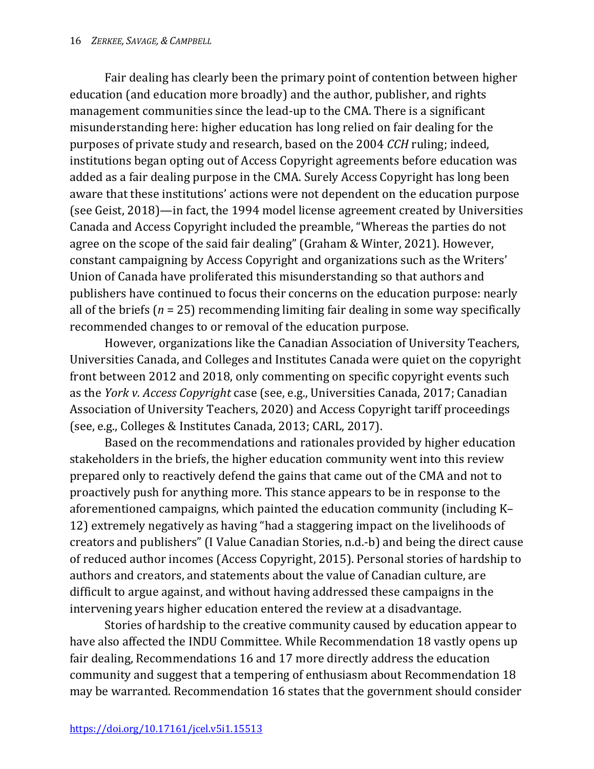Fair dealing has clearly been the primary point of contention between higher education (and education more broadly) and the author, publisher, and rights management communities since the lead-up to the CMA. There is a significant misunderstanding here: higher education has long relied on fair dealing for the purposes of private study and research, based on the 2004 *CCH* ruling; indeed, institutions began opting out of Access Copyright agreements before education was added as a fair dealing purpose in the CMA. Surely Access Copyright has long been aware that these institutions' actions were not dependent on the education purpose (see Geist, 2018)—in fact, the 1994 model license agreement created by Universities Canada and Access Copyright included the preamble, "Whereas the parties do not agree on the scope of the said fair dealing" (Graham & Winter, 2021). However, constant campaigning by Access Copyright and organizations such as the Writers' Union of Canada have proliferated this misunderstanding so that authors and publishers have continued to focus their concerns on the education purpose: nearly all of the briefs (*n* = 25) recommending limiting fair dealing in some way specifically recommended changes to or removal of the education purpose.

However, organizations like the Canadian Association of University Teachers, Universities Canada, and Colleges and Institutes Canada were quiet on the copyright front between 2012 and 2018, only commenting on specific copyright events such as the *York v. Access Copyright* case (see, e.g., Universities Canada, 2017; Canadian Association of University Teachers, 2020) and Access Copyright tariff proceedings (see, e.g., Colleges & Institutes Canada, 2013; CARL, 2017).

Based on the recommendations and rationales provided by higher education stakeholders in the briefs, the higher education community went into this review prepared only to reactively defend the gains that came out of the CMA and not to proactively push for anything more. This stance appears to be in response to the aforementioned campaigns, which painted the education community (including K– 12) extremely negatively as having "had a staggering impact on the livelihoods of creators and publishers" (I Value Canadian Stories, n.d.-b) and being the direct cause of reduced author incomes (Access Copyright, 2015). Personal stories of hardship to authors and creators, and statements about the value of Canadian culture, are difficult to argue against, and without having addressed these campaigns in the intervening years higher education entered the review at a disadvantage.

Stories of hardship to the creative community caused by education appear to have also affected the INDU Committee. While Recommendation 18 vastly opens up fair dealing, Recommendations 16 and 17 more directly address the education community and suggest that a tempering of enthusiasm about Recommendation 18 may be warranted. Recommendation 16 states that the government should consider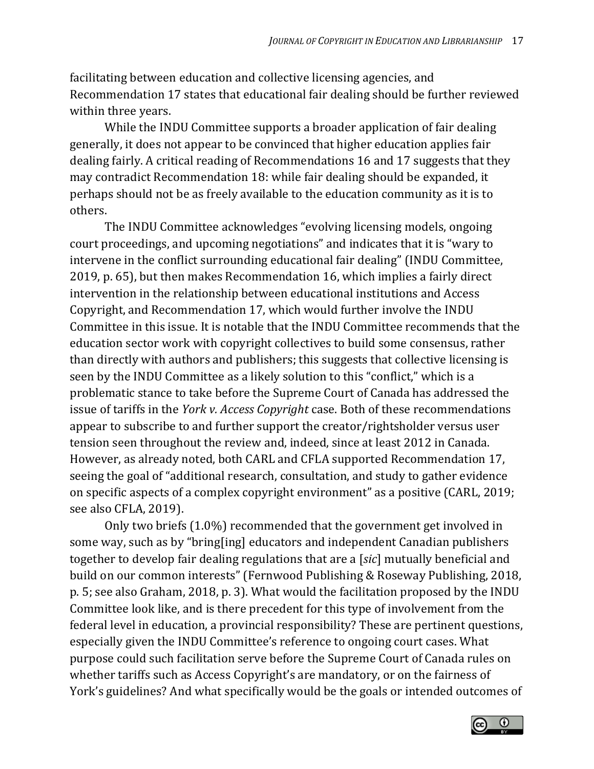facilitating between education and collective licensing agencies, and Recommendation 17 states that educational fair dealing should be further reviewed within three years.

While the INDU Committee supports a broader application of fair dealing generally, it does not appear to be convinced that higher education applies fair dealing fairly. A critical reading of Recommendations 16 and 17 suggests that they may contradict Recommendation 18: while fair dealing should be expanded, it perhaps should not be as freely available to the education community as it is to others.

The INDU Committee acknowledges "evolving licensing models, ongoing court proceedings, and upcoming negotiations" and indicates that it is "wary to intervene in the conflict surrounding educational fair dealing" (INDU Committee, 2019, p. 65), but then makes Recommendation 16, which implies a fairly direct intervention in the relationship between educational institutions and Access Copyright, and Recommendation 17, which would further involve the INDU Committee in this issue. It is notable that the INDU Committee recommends that the education sector work with copyright collectives to build some consensus, rather than directly with authors and publishers; this suggests that collective licensing is seen by the INDU Committee as a likely solution to this "conflict," which is a problematic stance to take before the Supreme Court of Canada has addressed the issue of tariffs in the *York v. Access Copyright* case. Both of these recommendations appear to subscribe to and further support the creator/rightsholder versus user tension seen throughout the review and, indeed, since at least 2012 in Canada. However, as already noted, both CARL and CFLA supported Recommendation 17, seeing the goal of "additional research, consultation, and study to gather evidence on specific aspects of a complex copyright environment" as a positive (CARL, 2019; see also CFLA, 2019).

Only two briefs (1.0%) recommended that the government get involved in some way, such as by "bring[ing] educators and independent Canadian publishers together to develop fair dealing regulations that are a [*sic*] mutually beneficial and build on our common interests" (Fernwood Publishing & Roseway Publishing, 2018, p. 5; see also Graham, 2018, p. 3). What would the facilitation proposed by the INDU Committee look like, and is there precedent for this type of involvement from the federal level in education, a provincial responsibility? These are pertinent questions, especially given the INDU Committee's reference to ongoing court cases. What purpose could such facilitation serve before the Supreme Court of Canada rules on whether tariffs such as Access Copyright's are mandatory, or on the fairness of York's guidelines? And what specifically would be the goals or intended outcomes of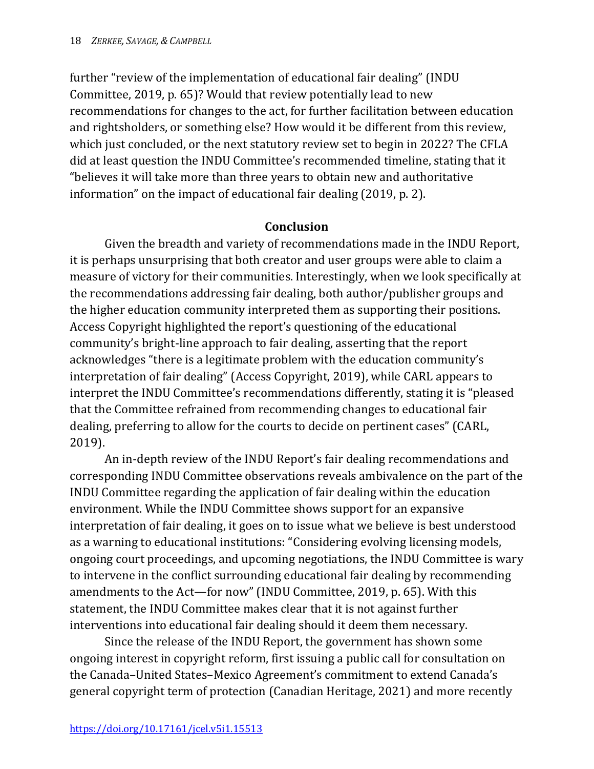further "review of the implementation of educational fair dealing" (INDU Committee, 2019, p. 65)? Would that review potentially lead to new recommendations for changes to the act, for further facilitation between education and rightsholders, or something else? How would it be different from this review, which just concluded, or the next statutory review set to begin in 2022? The CFLA did at least question the INDU Committee's recommended timeline, stating that it "believes it will take more than three years to obtain new and authoritative information" on the impact of educational fair dealing (2019, p. 2).

#### **Conclusion**

Given the breadth and variety of recommendations made in the INDU Report, it is perhaps unsurprising that both creator and user groups were able to claim a measure of victory for their communities. Interestingly, when we look specifically at the recommendations addressing fair dealing, both author/publisher groups and the higher education community interpreted them as supporting their positions. Access Copyright highlighted the report's questioning of the educational community's bright-line approach to fair dealing, asserting that the report acknowledges "there is a legitimate problem with the education community's interpretation of fair dealing" (Access Copyright, 2019), while CARL appears to interpret the INDU Committee's recommendations differently, stating it is "pleased that the Committee refrained from recommending changes to educational fair dealing, preferring to allow for the courts to decide on pertinent cases" (CARL, 2019).

An in-depth review of the INDU Report's fair dealing recommendations and corresponding INDU Committee observations reveals ambivalence on the part of the INDU Committee regarding the application of fair dealing within the education environment. While the INDU Committee shows support for an expansive interpretation of fair dealing, it goes on to issue what we believe is best understood as a warning to educational institutions: "Considering evolving licensing models, ongoing court proceedings, and upcoming negotiations, the INDU Committee is wary to intervene in the conflict surrounding educational fair dealing by recommending amendments to the Act—for now" (INDU Committee, 2019, p. 65). With this statement, the INDU Committee makes clear that it is not against further interventions into educational fair dealing should it deem them necessary.

Since the release of the INDU Report, the government has shown some ongoing interest in copyright reform, first issuing a public call for consultation on the Canada–United States–Mexico Agreement's commitment to extend Canada's general copyright term of protection (Canadian Heritage, 2021) and more recently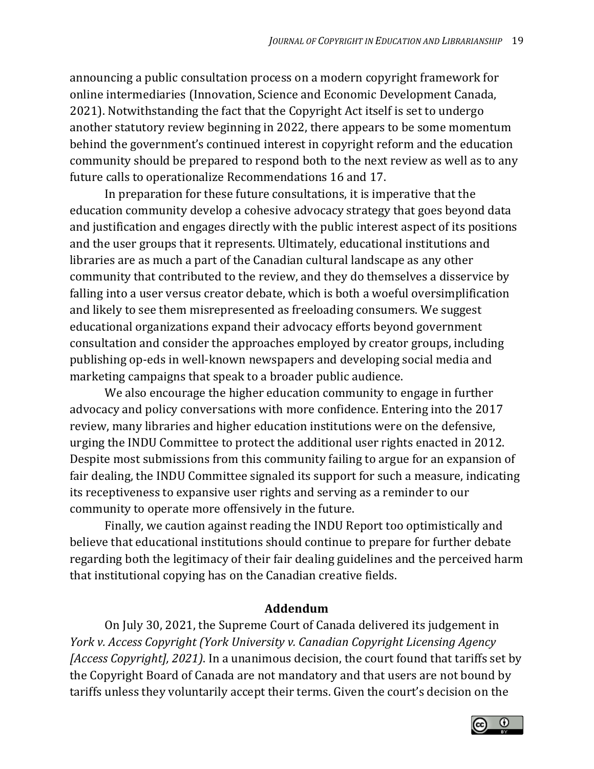announcing a public consultation process on a modern copyright framework for online intermediaries (Innovation, Science and Economic Development Canada, 2021). Notwithstanding the fact that the Copyright Act itself is set to undergo another statutory review beginning in 2022, there appears to be some momentum behind the government's continued interest in copyright reform and the education community should be prepared to respond both to the next review as well as to any future calls to operationalize Recommendations 16 and 17.

In preparation for these future consultations, it is imperative that the education community develop a cohesive advocacy strategy that goes beyond data and justification and engages directly with the public interest aspect of its positions and the user groups that it represents. Ultimately, educational institutions and libraries are as much a part of the Canadian cultural landscape as any other community that contributed to the review, and they do themselves a disservice by falling into a user versus creator debate, which is both a woeful oversimplification and likely to see them misrepresented as freeloading consumers. We suggest educational organizations expand their advocacy efforts beyond government consultation and consider the approaches employed by creator groups, including publishing op-eds in well-known newspapers and developing social media and marketing campaigns that speak to a broader public audience.

We also encourage the higher education community to engage in further advocacy and policy conversations with more confidence. Entering into the 2017 review, many libraries and higher education institutions were on the defensive, urging the INDU Committee to protect the additional user rights enacted in 2012. Despite most submissions from this community failing to argue for an expansion of fair dealing, the INDU Committee signaled its support for such a measure, indicating its receptiveness to expansive user rights and serving as a reminder to our community to operate more offensively in the future.

Finally, we caution against reading the INDU Report too optimistically and believe that educational institutions should continue to prepare for further debate regarding both the legitimacy of their fair dealing guidelines and the perceived harm that institutional copying has on the Canadian creative fields.

### **Addendum**

On July 30, 2021, the Supreme Court of Canada delivered its judgement in *York v. Access Copyright (York University v. Canadian Copyright Licensing Agency [Access Copyright], 2021)*. In a unanimous decision, the court found that tariffs set by the Copyright Board of Canada are not mandatory and that users are not bound by tariffs unless they voluntarily accept their terms. Given the court's decision on the

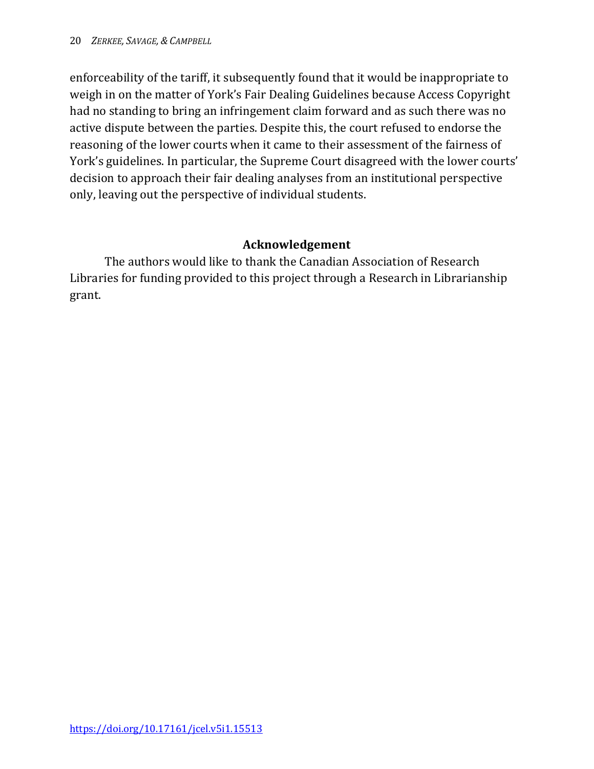enforceability of the tariff, it subsequently found that it would be inappropriate to weigh in on the matter of York's Fair Dealing Guidelines because Access Copyright had no standing to bring an infringement claim forward and as such there was no active dispute between the parties. Despite this, the court refused to endorse the reasoning of the lower courts when it came to their assessment of the fairness of York's guidelines. In particular, the Supreme Court disagreed with the lower courts' decision to approach their fair dealing analyses from an institutional perspective only, leaving out the perspective of individual students.

### **Acknowledgement**

The authors would like to thank the Canadian Association of Research Libraries for funding provided to this project through a Research in Librarianship grant.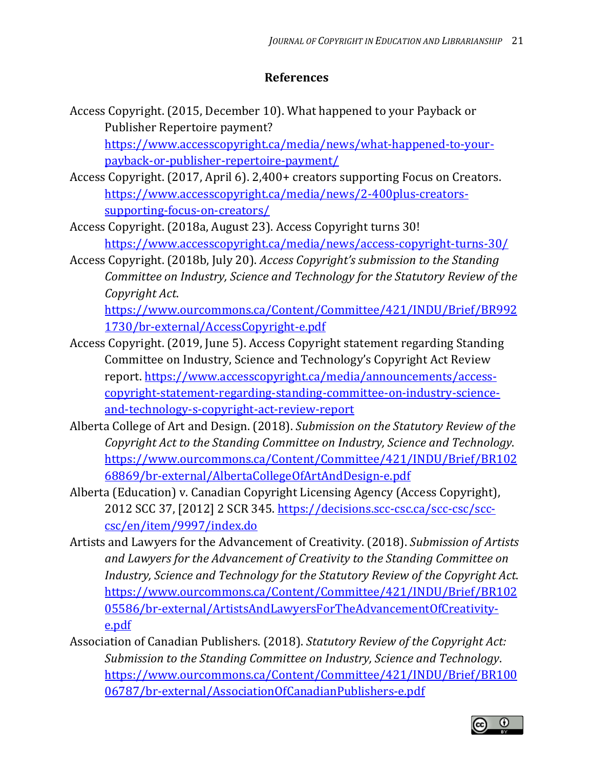#### **References**

- Access Copyright. (2015, December 10). What happened to your Payback or Publisher Repertoire payment? [https://www.accesscopyright.ca/media/news/what-happened-to-your](https://www.accesscopyright.ca/media/news/what-happened-to-your-payback-or-publisher-repertoire-payment/)[payback-or-publisher-repertoire-payment/](https://www.accesscopyright.ca/media/news/what-happened-to-your-payback-or-publisher-repertoire-payment/)
- Access Copyright. (2017, April 6). 2,400+ creators supporting Focus on Creators. [https://www.accesscopyright.ca/media/news/2-400plus-creators](https://www.accesscopyright.ca/media/news/2-400plus-creators-supporting-focus-on-creators/)[supporting-focus-on-creators/](https://www.accesscopyright.ca/media/news/2-400plus-creators-supporting-focus-on-creators/)
- Access Copyright. (2018a, August 23). Access Copyright turns 30! <https://www.accesscopyright.ca/media/news/access-copyright-turns-30/>
- Access Copyright. (2018b, July 20). *Access Copyright's submission to the Standing Committee on Industry, Science and Technology for the Statutory Review of the Copyright Act*. [https://www.ourcommons.ca/Content/Committee/421/INDU/Brief/BR992](https://www.ourcommons.ca/Content/Committee/421/INDU/Brief/BR9921730/br-external/AccessCopyright-e.pdf)

[1730/br-external/AccessCopyright-e.pdf](https://www.ourcommons.ca/Content/Committee/421/INDU/Brief/BR9921730/br-external/AccessCopyright-e.pdf)

- Access Copyright. (2019, June 5). Access Copyright statement regarding Standing Committee on Industry, Science and Technology's Copyright Act Review report. [https://www.accesscopyright.ca/media/announcements/access](https://www.accesscopyright.ca/media/announcements/access-copyright-statement-regarding-standing-committee-on-industry-science-and-technology-s-copyright-act-review-report/)[copyright-statement-regarding-standing-committee-on-industry-science](https://www.accesscopyright.ca/media/announcements/access-copyright-statement-regarding-standing-committee-on-industry-science-and-technology-s-copyright-act-review-report/)[and-technology-s-copyright-act-review-report](https://www.accesscopyright.ca/media/announcements/access-copyright-statement-regarding-standing-committee-on-industry-science-and-technology-s-copyright-act-review-report/)
- Alberta College of Art and Design. (2018). *Submission on the Statutory Review of the Copyright Act to the Standing Committee on Industry, Science and Technology*. [https://www.ourcommons.ca/Content/Committee/421/INDU/Brief/BR102](https://www.ourcommons.ca/Content/Committee/421/INDU/Brief/BR10268869/br-external/AlbertaCollegeOfArtAndDesign-e.pdf) [68869/br-external/AlbertaCollegeOfArtAndDesign-e.pdf](https://www.ourcommons.ca/Content/Committee/421/INDU/Brief/BR10268869/br-external/AlbertaCollegeOfArtAndDesign-e.pdf)
- Alberta (Education) v. Canadian Copyright Licensing Agency (Access Copyright), 2012 SCC 37, [2012] 2 SCR 345. [https://decisions.scc-csc.ca/scc-csc/scc](https://decisions.scc-csc.ca/scc-csc/scc-csc/en/item/9997/index.do)[csc/en/item/9997/index.do](https://decisions.scc-csc.ca/scc-csc/scc-csc/en/item/9997/index.do)
- Artists and Lawyers for the Advancement of Creativity. (2018). *Submission of Artists and Lawyers for the Advancement of Creativity to the Standing Committee on Industry, Science and Technology for the Statutory Review of the Copyright Act*. [https://www.ourcommons.ca/Content/Committee/421/INDU/Brief/BR102](https://www.ourcommons.ca/Content/Committee/421/INDU/Brief/BR10205586/br-external/ArtistsAndLawyersForTheAdvancementOfCreativity-e.pdf) [05586/br-external/ArtistsAndLawyersForTheAdvancementOfCreativity](https://www.ourcommons.ca/Content/Committee/421/INDU/Brief/BR10205586/br-external/ArtistsAndLawyersForTheAdvancementOfCreativity-e.pdf)[e.pdf](https://www.ourcommons.ca/Content/Committee/421/INDU/Brief/BR10205586/br-external/ArtistsAndLawyersForTheAdvancementOfCreativity-e.pdf)
- Association of Canadian Publishers. (2018). *Statutory Review of the Copyright Act: Submission to the Standing Committee on Industry, Science and Technology*. [https://www.ourcommons.ca/Content/Committee/421/INDU/Brief/BR100](https://www.ourcommons.ca/Content/Committee/421/INDU/Brief/BR10006787/br-external/AssociationOfCanadianPublishers-e.pdf) [06787/br-external/AssociationOfCanadianPublishers-e.pdf](https://www.ourcommons.ca/Content/Committee/421/INDU/Brief/BR10006787/br-external/AssociationOfCanadianPublishers-e.pdf)

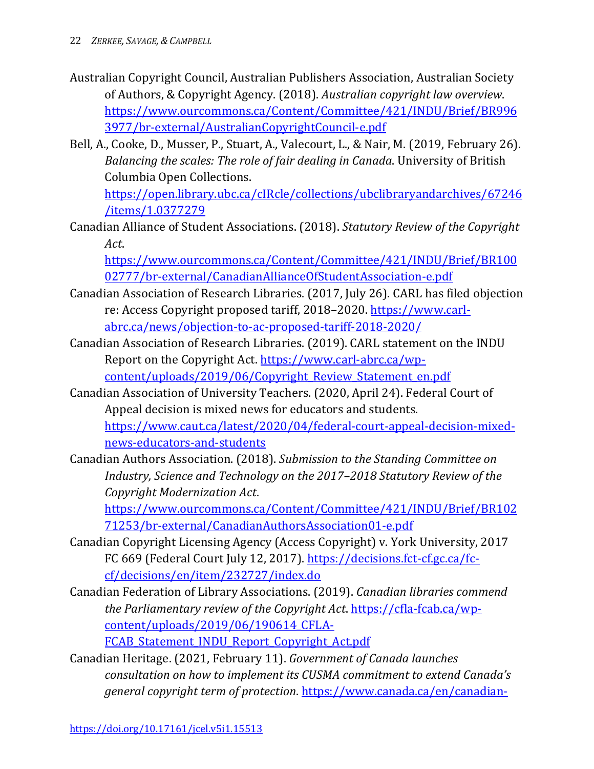- Australian Copyright Council, Australian Publishers Association, Australian Society of Authors, & Copyright Agency. (2018). *Australian copyright law overview*. [https://www.ourcommons.ca/Content/Committee/421/INDU/Brief/BR996](https://www.ourcommons.ca/Content/Committee/421/INDU/Brief/BR9963977/br-external/AustralianCopyrightCouncil-e.pdf) [3977/br-external/AustralianCopyrightCouncil-e.pdf](https://www.ourcommons.ca/Content/Committee/421/INDU/Brief/BR9963977/br-external/AustralianCopyrightCouncil-e.pdf)
- Bell, A., Cooke, D., Musser, P., Stuart, A., Valecourt, L., & Nair, M. (2019, February 26). *Balancing the scales: The role of fair dealing in Canada*. University of British Columbia Open Collections.

[https://open.library.ubc.ca/cIRcle/collections/ubclibraryandarchives/67246](https://open.library.ubc.ca/cIRcle/collections/ubclibraryandarchives/67246/items/1.0377279) [/items/1.0377279](https://open.library.ubc.ca/cIRcle/collections/ubclibraryandarchives/67246/items/1.0377279)

Canadian Alliance of Student Associations. (2018). *Statutory Review of the Copyright Act*.

[https://www.ourcommons.ca/Content/Committee/421/INDU/Brief/BR100](https://www.ourcommons.ca/Content/Committee/421/INDU/Brief/BR10002777/br-external/CanadianAllianceOfStudentAssociation-e.pdf) [02777/br-external/CanadianAllianceOfStudentAssociation-e.pdf](https://www.ourcommons.ca/Content/Committee/421/INDU/Brief/BR10002777/br-external/CanadianAllianceOfStudentAssociation-e.pdf)

- Canadian Association of Research Libraries. (2017, July 26). CARL has filed objection re: Access Copyright proposed tariff, 2018–2020. [https://www.carl](https://www.carl-abrc.ca/news/objection-to-ac-proposed-tariff-2018-2020/)[abrc.ca/news/objection-to-ac-proposed-tariff-2018-2020/](https://www.carl-abrc.ca/news/objection-to-ac-proposed-tariff-2018-2020/)
- Canadian Association of Research Libraries. (2019). CARL statement on the INDU Report on the Copyright Act. [https://www.carl-abrc.ca/wp](https://www.carl-abrc.ca/wp-content/uploads/2019/06/Copyright_Review_Statement_en.pdf)content/uploads/2019/06/Copyright Review Statement en.pdf
- Canadian Association of University Teachers. (2020, April 24). Federal Court of Appeal decision is mixed news for educators and students. [https://www.caut.ca/latest/2020/04/federal-court-appeal-decision-mixed](https://www.caut.ca/latest/2020/04/federal-court-appeal-decision-mixed-news-educators-and-students)[news-educators-and-students](https://www.caut.ca/latest/2020/04/federal-court-appeal-decision-mixed-news-educators-and-students)
- Canadian Authors Association. (2018). *Submission to the Standing Committee on Industry, Science and Technology on the 2017–2018 Statutory Review of the Copyright Modernization Act*.

[https://www.ourcommons.ca/Content/Committee/421/INDU/Brief/BR102](https://www.ourcommons.ca/Content/Committee/421/INDU/Brief/BR10271253/br-external/CanadianAuthorsAssociation01-e.pdf) [71253/br-external/CanadianAuthorsAssociation01-e.pdf](https://www.ourcommons.ca/Content/Committee/421/INDU/Brief/BR10271253/br-external/CanadianAuthorsAssociation01-e.pdf)

- Canadian Copyright Licensing Agency (Access Copyright) v. York University, 2017 FC 669 (Federal Court July 12, 2017). [https://decisions.fct-cf.gc.ca/fc](https://decisions.fct-cf.gc.ca/fc-cf/decisions/en/item/232727/index.do)[cf/decisions/en/item/232727/index.do](https://decisions.fct-cf.gc.ca/fc-cf/decisions/en/item/232727/index.do)
- Canadian Federation of Library Associations. (2019). *Canadian libraries commend the Parliamentary review of the Copyright Act*. [https://cfla-fcab.ca/wp](https://cfla-fcab.ca/wp-content/uploads/2019/06/190614_CFLA-FCAB_Statement_INDU_Report_Copyright_Act.pdf)[content/uploads/2019/06/190614\\_CFLA-](https://cfla-fcab.ca/wp-content/uploads/2019/06/190614_CFLA-FCAB_Statement_INDU_Report_Copyright_Act.pdf)FCAB Statement INDU Report Copyright Act.pdf
- Canadian Heritage. (2021, February 11). *Government of Canada launches consultation on how to implement its CUSMA commitment to extend Canada's general copyright term of protection*. [https://www.canada.ca/en/canadian-](https://www.canada.ca/en/canadian-heritage/news/2021/02/government-of-canada-launches-consultation-on-how-to-implement-its-cusma-commitment-to-extend-canadas-general-copyright-term-of-protection.html)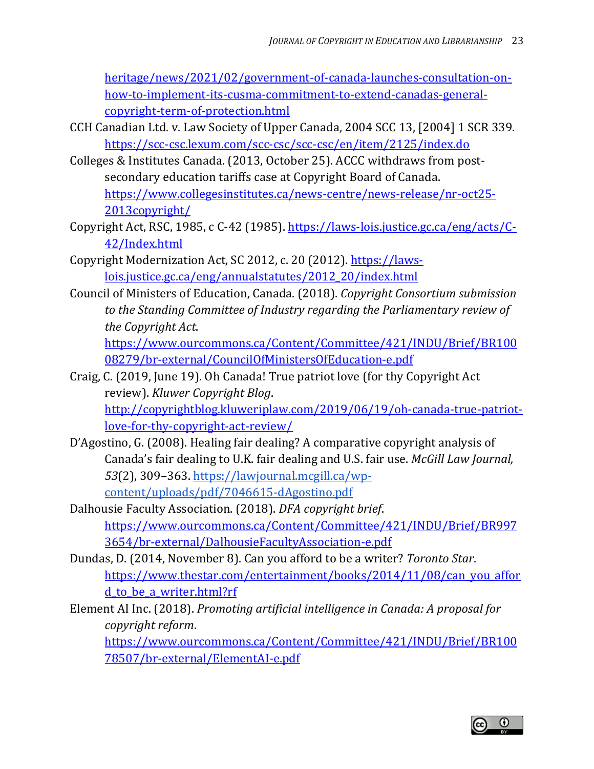[heritage/news/2021/02/government-of-canada-launches-consultation-on](https://www.canada.ca/en/canadian-heritage/news/2021/02/government-of-canada-launches-consultation-on-how-to-implement-its-cusma-commitment-to-extend-canadas-general-copyright-term-of-protection.html)[how-to-implement-its-cusma-commitment-to-extend-canadas-general](https://www.canada.ca/en/canadian-heritage/news/2021/02/government-of-canada-launches-consultation-on-how-to-implement-its-cusma-commitment-to-extend-canadas-general-copyright-term-of-protection.html)[copyright-term-of-protection.html](https://www.canada.ca/en/canadian-heritage/news/2021/02/government-of-canada-launches-consultation-on-how-to-implement-its-cusma-commitment-to-extend-canadas-general-copyright-term-of-protection.html)

- CCH Canadian Ltd. v. Law Society of Upper Canada, 2004 SCC 13, [2004] 1 SCR 339. <https://scc-csc.lexum.com/scc-csc/scc-csc/en/item/2125/index.do>
- Colleges & Institutes Canada. (2013, October 25). ACCC withdraws from postsecondary education tariffs case at Copyright Board of Canada. [https://www.collegesinstitutes.ca/news-centre/news-release/nr-oct25-](https://www.collegesinstitutes.ca/news-centre/news-release/nr-oct25-2013copyright/) [2013copyright/](https://www.collegesinstitutes.ca/news-centre/news-release/nr-oct25-2013copyright/)
- Copyright Act, RSC, 1985, c C-42 (1985). [https://laws-lois.justice.gc.ca/eng/acts/C-](https://laws-lois.justice.gc.ca/eng/acts/C-42/Index.html)[42/Index.html](https://laws-lois.justice.gc.ca/eng/acts/C-42/Index.html)
- Copyright Modernization Act, SC 2012, c. 20 (2012). [https://laws](https://laws-lois.justice.gc.ca/eng/annualstatutes/2012_20/index.html)[lois.justice.gc.ca/eng/annualstatutes/2012\\_20/index.html](https://laws-lois.justice.gc.ca/eng/annualstatutes/2012_20/index.html)
- Council of Ministers of Education, Canada. (2018). *Copyright Consortium submission to the Standing Committee of Industry regarding the Parliamentary review of the Copyright Act*. [https://www.ourcommons.ca/Content/Committee/421/INDU/Brief/BR100](https://www.ourcommons.ca/Content/Committee/421/INDU/Brief/BR10008279/br-external/CouncilOfMinistersOfEducation-e.pdf)

[08279/br-external/CouncilOfMinistersOfEducation-e.pdf](https://www.ourcommons.ca/Content/Committee/421/INDU/Brief/BR10008279/br-external/CouncilOfMinistersOfEducation-e.pdf)

- Craig, C. (2019, June 19). Oh Canada! True patriot love (for thy Copyright Act review). *Kluwer Copyright Blog*. [http://copyrightblog.kluweriplaw.com/2019/06/19/oh-canada-true-patriot](http://copyrightblog.kluweriplaw.com/2019/06/19/oh-canada-true-patriot-love-for-thy-copyright-act-review/)[love-for-thy-copyright-act-review/](http://copyrightblog.kluweriplaw.com/2019/06/19/oh-canada-true-patriot-love-for-thy-copyright-act-review/)
- D'Agostino, G. (2008). Healing fair dealing? A comparative copyright analysis of Canada's fair dealing to U.K. fair dealing and U.S. fair use. *McGill Law Journal, 53*(2), 309–363. [https://lawjournal.mcgill.ca/wp](https://lawjournal.mcgill.ca/wp-content/uploads/pdf/7046615-dAgostino.pdf)[content/uploads/pdf/7046615-dAgostino.pdf](https://lawjournal.mcgill.ca/wp-content/uploads/pdf/7046615-dAgostino.pdf)
- Dalhousie Faculty Association. (2018). *DFA copyright brief*. [https://www.ourcommons.ca/Content/Committee/421/INDU/Brief/BR997](https://www.ourcommons.ca/Content/Committee/421/INDU/Brief/BR9973654/br-external/DalhousieFacultyAssociation-e.pdf) [3654/br-external/DalhousieFacultyAssociation-e.pdf](https://www.ourcommons.ca/Content/Committee/421/INDU/Brief/BR9973654/br-external/DalhousieFacultyAssociation-e.pdf)
- Dundas, D. (2014, November 8). Can you afford to be a writer? *Toronto Star*. [https://www.thestar.com/entertainment/books/2014/11/08/can\\_you\\_affor](https://www.thestar.com/entertainment/books/2014/11/08/can_you_afford_to_be_a_writer.html?rf) d to be a writer.html?rf
- Element AI Inc. (2018). *Promoting artificial intelligence in Canada: A proposal for copyright reform*.

[https://www.ourcommons.ca/Content/Committee/421/INDU/Brief/BR100](https://www.ourcommons.ca/Content/Committee/421/INDU/Brief/BR10078507/br-external/ElementAI-e.pdf) [78507/br-external/ElementAI-e.pdf](https://www.ourcommons.ca/Content/Committee/421/INDU/Brief/BR10078507/br-external/ElementAI-e.pdf)

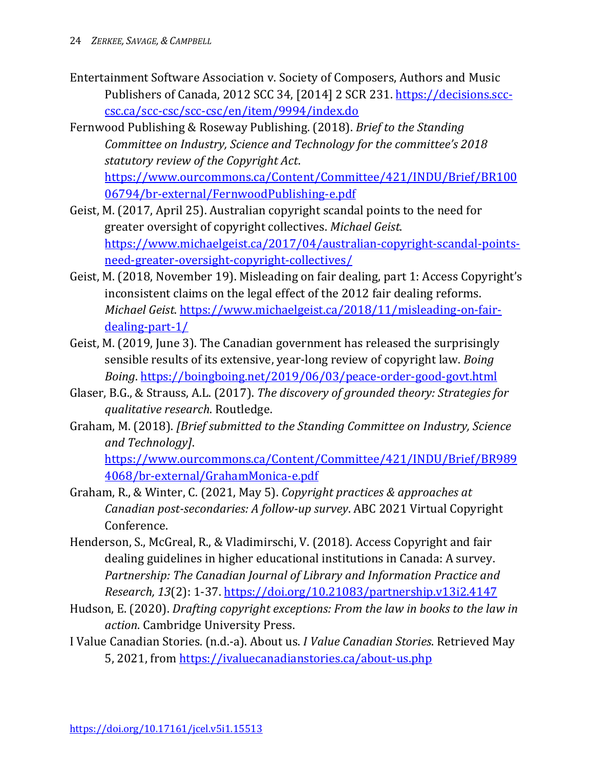- Entertainment Software Association v. Society of Composers, Authors and Music Publishers of Canada, 2012 SCC 34, [2014] 2 SCR 231. [https://decisions.scc](https://decisions.scc-csc.ca/scc-csc/scc-csc/en/item/9994/index.do)[csc.ca/scc-csc/scc-csc/en/item/9994/index.do](https://decisions.scc-csc.ca/scc-csc/scc-csc/en/item/9994/index.do)
- Fernwood Publishing & Roseway Publishing. (2018). *Brief to the Standing Committee on Industry, Science and Technology for the committee's 2018 statutory review of the Copyright Act*. [https://www.ourcommons.ca/Content/Committee/421/INDU/Brief/BR100](https://www.ourcommons.ca/Content/Committee/421/INDU/Brief/BR10006794/br-external/FernwoodPublishing-e.pdf) [06794/br-external/FernwoodPublishing-e.pdf](https://www.ourcommons.ca/Content/Committee/421/INDU/Brief/BR10006794/br-external/FernwoodPublishing-e.pdf)
- Geist, M. (2017, April 25). Australian copyright scandal points to the need for greater oversight of copyright collectives. *Michael Geist*. [https://www.michaelgeist.ca/2017/04/australian-copyright-scandal-points](https://www.michaelgeist.ca/2017/04/australian-copyright-scandal-points-need-greater-oversight-copyright-collectives/)[need-greater-oversight-copyright-collectives/](https://www.michaelgeist.ca/2017/04/australian-copyright-scandal-points-need-greater-oversight-copyright-collectives/)
- Geist, M. (2018, November 19). Misleading on fair dealing, part 1: Access Copyright's inconsistent claims on the legal effect of the 2012 fair dealing reforms. *Michael Geist*. [https://www.michaelgeist.ca/2018/11/misleading-on-fair](https://www.michaelgeist.ca/2018/11/misleading-on-fair-dealing-part-1/)[dealing-part-1/](https://www.michaelgeist.ca/2018/11/misleading-on-fair-dealing-part-1/)
- Geist, M. (2019, June 3). The Canadian government has released the surprisingly sensible results of its extensive, year-long review of copyright law. *Boing Boing*.<https://boingboing.net/2019/06/03/peace-order-good-govt.html>
- Glaser, B.G., & Strauss, A.L. (2017). *The discovery of grounded theory: Strategies for qualitative research*. Routledge.
- Graham, M. (2018). *[Brief submitted to the Standing Committee on Industry, Science and Technology]*. [https://www.ourcommons.ca/Content/Committee/421/INDU/Brief/BR989](https://www.ourcommons.ca/Content/Committee/421/INDU/Brief/BR9894068/br-external/GrahamMonica-e.pdf) [4068/br-external/GrahamMonica-e.pdf](https://www.ourcommons.ca/Content/Committee/421/INDU/Brief/BR9894068/br-external/GrahamMonica-e.pdf)
- Graham, R., & Winter, C. (2021, May 5). *Copyright practices & approaches at Canadian post-secondaries: A follow-up survey*. ABC 2021 Virtual Copyright Conference.
- Henderson, S., McGreal, R., & Vladimirschi, V. (2018). Access Copyright and fair dealing guidelines in higher educational institutions in Canada: A survey. *Partnership: The Canadian Journal of Library and Information Practice and Research, 13*(2): 1-37.<https://doi.org/10.21083/partnership.v13i2.4147>
- Hudson, E. (2020). *Drafting copyright exceptions: From the law in books to the law in action*. Cambridge University Press.
- I Value Canadian Stories. (n.d.-a). About us. *I Value Canadian Stories*. Retrieved May 5, 2021, from<https://ivaluecanadianstories.ca/about-us.php>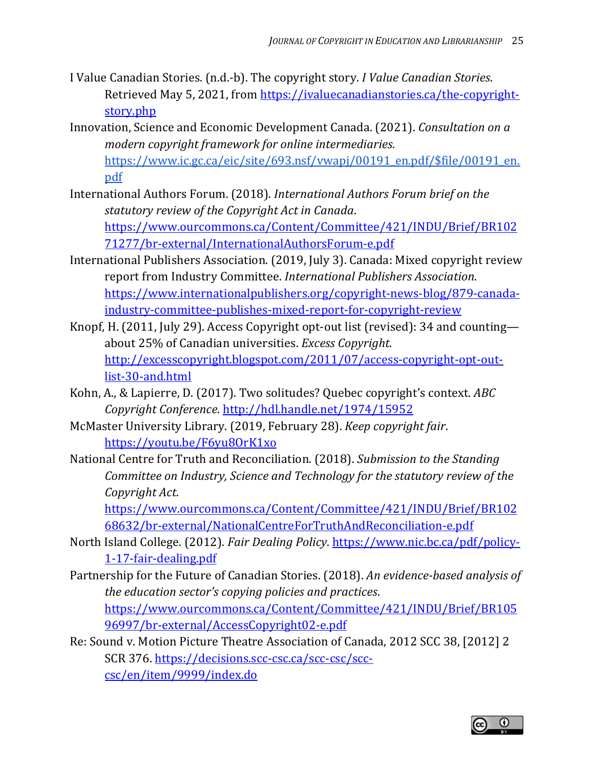- I Value Canadian Stories. (n.d.-b). The copyright story. *I Value Canadian Stories*. Retrieved May 5, 2021, from [https://ivaluecanadianstories.ca/the-copyright](https://ivaluecanadianstories.ca/the-copyright-story.php)[story.php](https://ivaluecanadianstories.ca/the-copyright-story.php)
- Innovation, Science and Economic Development Canada. (2021). *Consultation on a modern copyright framework for online intermediaries*. [https://www.ic.gc.ca/eic/site/693.nsf/vwapj/00191\\_en.pdf/\\$file/00191\\_en.](https://www.ic.gc.ca/eic/site/693.nsf/vwapj/00191_en.pdf/$file/00191_en.pdf) [pdf](https://www.ic.gc.ca/eic/site/693.nsf/vwapj/00191_en.pdf/$file/00191_en.pdf)
- International Authors Forum. (2018). *International Authors Forum brief on the statutory review of the Copyright Act in Canada*. [https://www.ourcommons.ca/Content/Committee/421/INDU/Brief/BR102](https://www.ourcommons.ca/Content/Committee/421/INDU/Brief/BR10271277/br-external/InternationalAuthorsForum-e.pdf) [71277/br-external/InternationalAuthorsForum-e.pdf](https://www.ourcommons.ca/Content/Committee/421/INDU/Brief/BR10271277/br-external/InternationalAuthorsForum-e.pdf)
- International Publishers Association. (2019, July 3). Canada: Mixed copyright review report from Industry Committee. *International Publishers Association*. [https://www.internationalpublishers.org/copyright-news-blog/879-canada](https://www.internationalpublishers.org/copyright-news-blog/879-canada-industry-committee-publishes-mixed-report-for-copyright-review)[industry-committee-publishes-mixed-report-for-copyright-review](https://www.internationalpublishers.org/copyright-news-blog/879-canada-industry-committee-publishes-mixed-report-for-copyright-review)
- Knopf, H. (2011, July 29). Access Copyright opt-out list (revised): 34 and counting about 25% of Canadian universities. *Excess Copyright*. [http://excesscopyright.blogspot.com/2011/07/access-copyright-opt-out](http://excesscopyright.blogspot.com/2011/07/access-copyright-opt-out-list-30-and.html)[list-30-and.html](http://excesscopyright.blogspot.com/2011/07/access-copyright-opt-out-list-30-and.html)
- Kohn, A., & Lapierre, D. (2017). Two solitudes? Quebec copyright's context. *ABC Copyright Conference*.<http://hdl.handle.net/1974/15952>
- McMaster University Library. (2019, February 28). *Keep copyright fair*. <https://youtu.be/F6yu8OrK1xo>
- National Centre for Truth and Reconciliation. (2018). *Submission to the Standing Committee on Industry, Science and Technology for the statutory review of the Copyright Act*.

[https://www.ourcommons.ca/Content/Committee/421/INDU/Brief/BR102](https://www.ourcommons.ca/Content/Committee/421/INDU/Brief/BR10268632/br-external/NationalCentreForTruthAndReconciliation-e.pdf) [68632/br-external/NationalCentreForTruthAndReconciliation-e.pdf](https://www.ourcommons.ca/Content/Committee/421/INDU/Brief/BR10268632/br-external/NationalCentreForTruthAndReconciliation-e.pdf)

- North Island College. (2012). *Fair Dealing Policy*. [https://www.nic.bc.ca/pdf/policy-](https://www.nic.bc.ca/pdf/policy-1-17-fair-dealing.pdf)[1-17-fair-dealing.pdf](https://www.nic.bc.ca/pdf/policy-1-17-fair-dealing.pdf)
- Partnership for the Future of Canadian Stories. (2018). *An evidence-based analysis of the education sector's copying policies and practices*. [https://www.ourcommons.ca/Content/Committee/421/INDU/Brief/BR105](https://www.ourcommons.ca/Content/Committee/421/INDU/Brief/BR10596997/br-external/AccessCopyright02-e.pdf) [96997/br-external/AccessCopyright02-e.pdf](https://www.ourcommons.ca/Content/Committee/421/INDU/Brief/BR10596997/br-external/AccessCopyright02-e.pdf)
- Re: Sound v. Motion Picture Theatre Association of Canada, 2012 SCC 38, [2012] 2 SCR 376. [https://decisions.scc-csc.ca/scc-csc/scc](https://decisions.scc-csc.ca/scc-csc/scc-csc/en/item/9999/index.do)[csc/en/item/9999/index.do](https://decisions.scc-csc.ca/scc-csc/scc-csc/en/item/9999/index.do)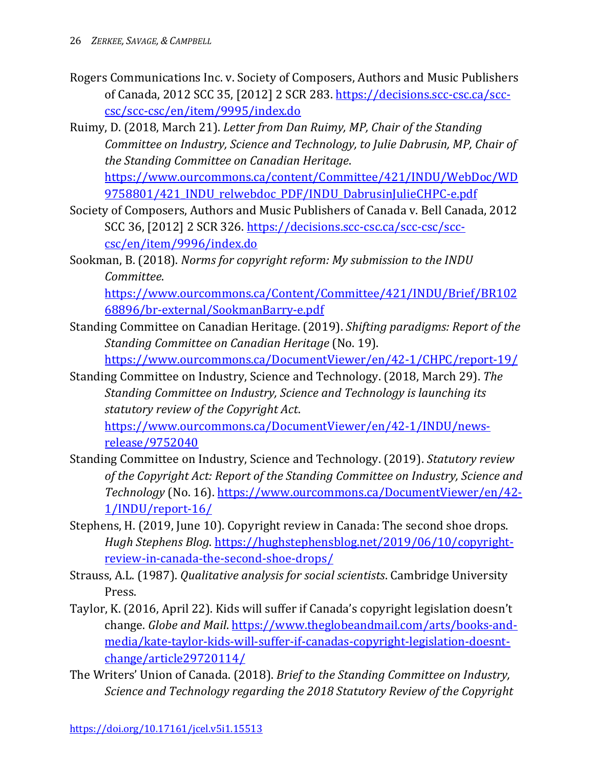- Rogers Communications Inc. v. Society of Composers, Authors and Music Publishers of Canada, 2012 SCC 35, [2012] 2 SCR 283. [https://decisions.scc-csc.ca/scc](https://decisions.scc-csc.ca/scc-csc/scc-csc/en/item/9995/index.do)[csc/scc-csc/en/item/9995/index.do](https://decisions.scc-csc.ca/scc-csc/scc-csc/en/item/9995/index.do)
- Ruimy, D. (2018, March 21). *Letter from Dan Ruimy, MP, Chair of the Standing Committee on Industry, Science and Technology, to Julie Dabrusin, MP, Chair of the Standing Committee on Canadian Heritage*. [https://www.ourcommons.ca/content/Committee/421/INDU/WebDoc/WD](https://www.ourcommons.ca/content/Committee/421/INDU/WebDoc/WD9758801/421_INDU_relwebdoc_PDF/INDU_DabrusinJulieCHPC-e.pdf)

[9758801/421\\_INDU\\_relwebdoc\\_PDF/INDU\\_DabrusinJulieCHPC-e.pdf](https://www.ourcommons.ca/content/Committee/421/INDU/WebDoc/WD9758801/421_INDU_relwebdoc_PDF/INDU_DabrusinJulieCHPC-e.pdf)

- Society of Composers, Authors and Music Publishers of Canada v. Bell Canada, 2012 SCC 36, [2012] 2 SCR 326. [https://decisions.scc-csc.ca/scc-csc/scc](https://decisions.scc-csc.ca/scc-csc/scc-csc/en/item/9996/index.do)[csc/en/item/9996/index.do](https://decisions.scc-csc.ca/scc-csc/scc-csc/en/item/9996/index.do)
- Sookman, B. (2018). *Norms for copyright reform: My submission to the INDU Committee*.

[https://www.ourcommons.ca/Content/Committee/421/INDU/Brief/BR102](https://www.ourcommons.ca/Content/Committee/421/INDU/Brief/BR10268896/br-external/SookmanBarry-e.pdf) [68896/br-external/SookmanBarry-e.pdf](https://www.ourcommons.ca/Content/Committee/421/INDU/Brief/BR10268896/br-external/SookmanBarry-e.pdf)

Standing Committee on Canadian Heritage. (2019). *Shifting paradigms: Report of the Standing Committee on Canadian Heritage* (No. 19).

<https://www.ourcommons.ca/DocumentViewer/en/42-1/CHPC/report-19/>

Standing Committee on Industry, Science and Technology. (2018, March 29). *The Standing Committee on Industry, Science and Technology is launching its statutory review of the Copyright Act*.

[https://www.ourcommons.ca/DocumentViewer/en/42-1/INDU/news](https://www.ourcommons.ca/DocumentViewer/en/42-1/INDU/news-release/9752040)[release/9752040](https://www.ourcommons.ca/DocumentViewer/en/42-1/INDU/news-release/9752040)

- Standing Committee on Industry, Science and Technology. (2019). *Statutory review of the Copyright Act: Report of the Standing Committee on Industry, Science and Technology* (No. 16). [https://www.ourcommons.ca/DocumentViewer/en/42-](https://www.ourcommons.ca/DocumentViewer/en/42-1/INDU/report-16/) [1/INDU/report-16/](https://www.ourcommons.ca/DocumentViewer/en/42-1/INDU/report-16/)
- Stephens, H. (2019, June 10). Copyright review in Canada: The second shoe drops. *Hugh Stephens Blog*. [https://hughstephensblog.net/2019/06/10/copyright](https://hughstephensblog.net/2019/06/10/copyright-review-in-canada-the-second-shoe-drops/)[review-in-canada-the-second-shoe-drops/](https://hughstephensblog.net/2019/06/10/copyright-review-in-canada-the-second-shoe-drops/)
- Strauss, A.L. (1987). *Qualitative analysis for social scientists*. Cambridge University Press.
- Taylor, K. (2016, April 22). Kids will suffer if Canada's copyright legislation doesn't change. *Globe and Mail*. [https://www.theglobeandmail.com/arts/books-and](https://www.theglobeandmail.com/arts/books-and-media/kate-taylor-kids-will-suffer-if-canadas-copyright-legislation-doesnt-change/article29720114/)[media/kate-taylor-kids-will-suffer-if-canadas-copyright-legislation-doesnt](https://www.theglobeandmail.com/arts/books-and-media/kate-taylor-kids-will-suffer-if-canadas-copyright-legislation-doesnt-change/article29720114/)[change/article29720114/](https://www.theglobeandmail.com/arts/books-and-media/kate-taylor-kids-will-suffer-if-canadas-copyright-legislation-doesnt-change/article29720114/)
- The Writers' Union of Canada. (2018). *Brief to the Standing Committee on Industry, Science and Technology regarding the 2018 Statutory Review of the Copyright*